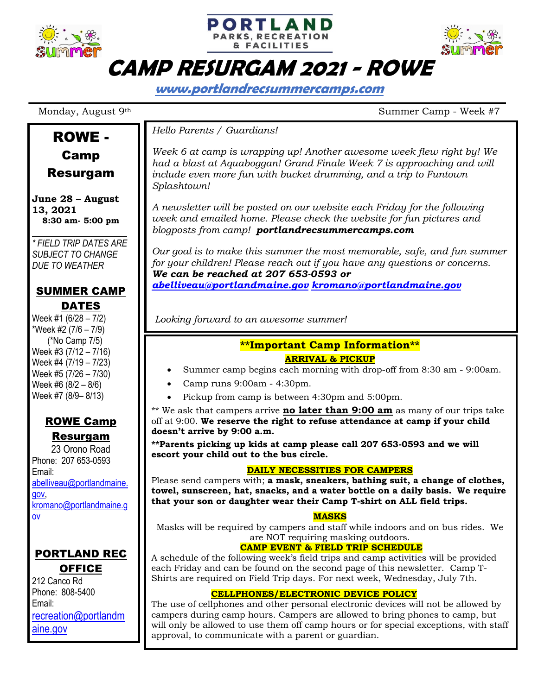





# **CAMP RESURGAM 2021 - ROWE**

**www.portlandrecsummercamps.com**

ROWE -

Camp Resurgam

Monday, August 9<sup>th</sup> Summer Camp - Week #7

#### *Hello Parents / Guardians!*

*Week 6 at camp is wrapping up! Another awesome week flew right by! We had a blast at Aquaboggan! Grand Finale Week 7 is approaching and will include even more fun with bucket drumming, and a trip to Funtown Splashtown!*

*A newsletter will be posted on our website each Friday for the following week and emailed home. Please check the website for fun pictures and blogposts from camp! portlandrecsummercamps.com*

*Our goal is to make this summer the most memorable, safe, and fun summer for your children! Please reach out if you have any questions or concerns. We can be reached at 207 653-0593 or abelliveau@portlandmaine.gov kromano@portlandmaine.gov*

*Looking forward to an awesome summer!*

#### **\*\*Important Camp Information\*\* ARRIVAL & PICKUP**

- Summer camp begins each morning with drop-off from 8:30 am 9:00am.
- Camp runs 9:00am 4:30pm.
- Pickup from camp is between 4:30pm and 5:00pm.

\*\* We ask that campers arrive **no later than 9:00 am** as many of our trips take off at 9:00. **We reserve the right to refuse attendance at camp if your child doesn't arrive by 9:00 a.m.**

**\*\*Parents picking up kids at camp please call 207 653-0593 and we will escort your child out to the bus circle.**

#### **DAILY NECESSITIES FOR CAMPERS**

Please send campers with; **a mask, sneakers, bathing suit, a change of clothes, towel, sunscreen, hat, snacks, and a water bottle on a daily basis. We require that your son or daughter wear their Camp T-shirt on ALL field trips.**

#### **MASKS**

Masks will be required by campers and staff while indoors and on bus rides. We are NOT requiring masking outdoors.

#### **CAMP EVENT & FIELD TRIP SCHEDULE**

A schedule of the following week's field trips and camp activities will be provided each Friday and can be found on the second page of this newsletter. Camp T-Shirts are required on Field Trip days. For next week, Wednesday, July 7th.

#### **CELLPHONES/ELECTRONIC DEVICE POLICY**

The use of cellphones and other personal electronic devices will not be allowed by campers during camp hours. Campers are allowed to bring phones to camp, but will only be allowed to use them off camp hours or for special exceptions, with staff approval, to communicate with a parent or guardian.

**June 28 – August 13, 2021**

**8:30 am- 5:00 pm** *\* FIELD TRIP DATES ARE* 

*SUBJECT TO CHANGE DUE TO WEATHER*

### SUMMER CAMP **DATES**

Week #1 (6/28 – 7/2) \*Week #2 (7/6 – 7/9) (\*No Camp 7/5) Week #3 (7/12 – 7/16) Week #4 (7/19 – 7/23) Week #5 (7/26 – 7/30) Week #6 (8/2 – 8/6) Week #7 (8/9– 8/13)

## ROWE Camp

Resurgam 23 Orono Road Phone: 207 653-0593 Email: abelliveau@portlandmaine. gov, kromano@portlandmaine.g ov

### PORTLAND REC **OFFICE**

212 Canco Rd Phone: 808-5400 Email: recreation@portlandm aine.gov